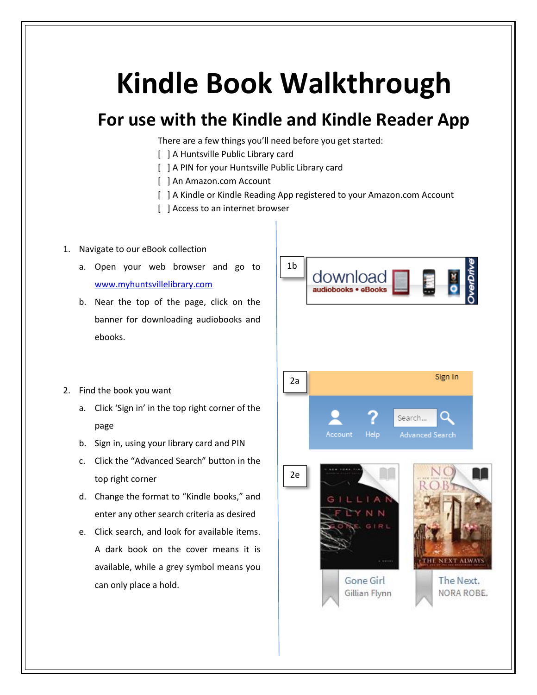## **Kindle Book Walkthrough**

## **For use with the Kindle and Kindle Reader App**

There are a few things you'll need before you get started:

- [ ] A Huntsville Public Library card
- [ ] A PIN for your Huntsville Public Library card
- [ ] An Amazon.com Account
- [ ] A Kindle or Kindle Reading App registered to your Amazon.com Account
- [ ] Access to an internet browser

## 1. Navigate to our eBook collection

- a. Open your web browser and go to [www.myhuntsvillelibrary.com](http://www.myhuntsvillelibrary.com/)
- b. Near the top of the page, click on the banner for downloading audiobooks and ebooks.



- 2. Find the book you want
	- a. Click 'Sign in' in the top right corner of the page
	- b. Sign in, using your library card and PIN
	- c. Click the "Advanced Search" button in the top right corner
	- d. Change the format to "Kindle books," and enter any other search criteria as desired
	- e. Click search, and look for available items. A dark book on the cover means it is available, while a grey symbol means you can only place a hold.